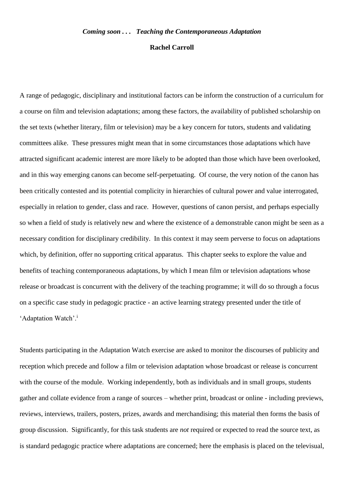#### *Coming soon . . . Teaching the Contemporaneous Adaptation*

### **Rachel Carroll**

A range of pedagogic, disciplinary and institutional factors can be inform the construction of a curriculum for a course on film and television adaptations; among these factors, the availability of published scholarship on the set texts (whether literary, film or television) may be a key concern for tutors, students and validating committees alike. These pressures might mean that in some circumstances those adaptations which have attracted significant academic interest are more likely to be adopted than those which have been overlooked, and in this way emerging canons can become self-perpetuating. Of course, the very notion of the canon has been critically contested and its potential complicity in hierarchies of cultural power and value interrogated, especially in relation to gender, class and race. However, questions of canon persist, and perhaps especially so when a field of study is relatively new and where the existence of a demonstrable canon might be seen as a necessary condition for disciplinary credibility. In this context it may seem perverse to focus on adaptations which, by definition, offer no supporting critical apparatus. This chapter seeks to explore the value and benefits of teaching contemporaneous adaptations, by which I mean film or television adaptations whose release or broadcast is concurrent with the delivery of the teaching programme; it will do so through a focus on a specific case study in pedagogic practice - an active learning strategy presented under the title of 'Adaptation Watch'.<sup>i</sup>

Students participating in the Adaptation Watch exercise are asked to monitor the discourses of publicity and reception which precede and follow a film or television adaptation whose broadcast or release is concurrent with the course of the module. Working independently, both as individuals and in small groups, students gather and collate evidence from a range of sources – whether print, broadcast or online - including previews, reviews, interviews, trailers, posters, prizes, awards and merchandising; this material then forms the basis of group discussion. Significantly, for this task students are *not* required or expected to read the source text, as is standard pedagogic practice where adaptations are concerned; here the emphasis is placed on the televisual,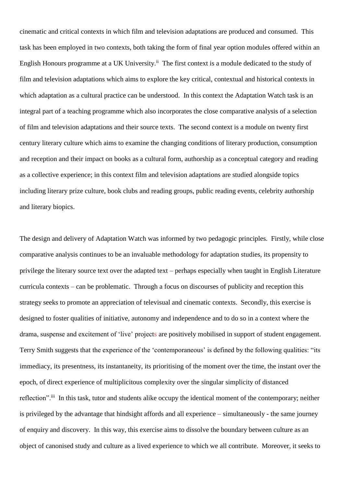cinematic and critical contexts in which film and television adaptations are produced and consumed. This task has been employed in two contexts, both taking the form of final year option modules offered within an English Honours programme at a UK University.<sup>ii</sup> The first context is a module dedicated to the study of film and television adaptations which aims to explore the key critical, contextual and historical contexts in which adaptation as a cultural practice can be understood. In this context the Adaptation Watch task is an integral part of a teaching programme which also incorporates the close comparative analysis of a selection of film and television adaptations and their source texts. The second context is a module on twenty first century literary culture which aims to examine the changing conditions of literary production, consumption and reception and their impact on books as a cultural form, authorship as a conceptual category and reading as a collective experience; in this context film and television adaptations are studied alongside topics including literary prize culture, book clubs and reading groups, public reading events, celebrity authorship and literary biopics.

The design and delivery of Adaptation Watch was informed by two pedagogic principles. Firstly, while close comparative analysis continues to be an invaluable methodology for adaptation studies, its propensity to privilege the literary source text over the adapted text – perhaps especially when taught in English Literature curricula contexts – can be problematic. Through a focus on discourses of publicity and reception this strategy seeks to promote an appreciation of televisual and cinematic contexts. Secondly, this exercise is designed to foster qualities of initiative, autonomy and independence and to do so in a context where the drama, suspense and excitement of 'live' projects are positively mobilised in support of student engagement. Terry Smith suggests that the experience of the 'contemporaneous' is defined by the following qualities: "its immediacy, its presentness, its instantaneity, its prioritising of the moment over the time, the instant over the epoch, of direct experience of multiplicitous complexity over the singular simplicity of distanced reflection".<sup>iii</sup> In this task, tutor and students alike occupy the identical moment of the contemporary; neither is privileged by the advantage that hindsight affords and all experience – simultaneously - the same journey of enquiry and discovery. In this way, this exercise aims to dissolve the boundary between culture as an object of canonised study and culture as a lived experience to which we all contribute. Moreover, it seeks to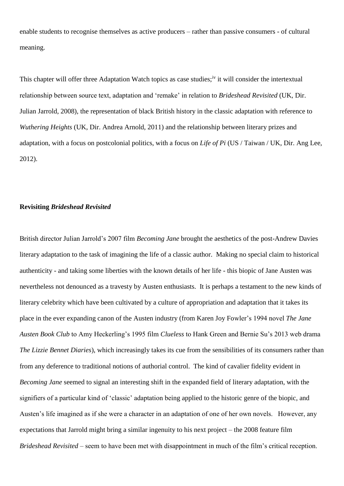enable students to recognise themselves as active producers – rather than passive consumers - of cultural meaning.

This chapter will offer three Adaptation Watch topics as case studies;<sup>iv</sup> it will consider the intertextual relationship between source text, adaptation and 'remake' in relation to *Brideshead Revisited* (UK, Dir. Julian Jarrold, 2008), the representation of black British history in the classic adaptation with reference to *Wuthering Heights* (UK, Dir. Andrea Arnold, 2011) and the relationship between literary prizes and adaptation, with a focus on postcolonial politics, with a focus on *Life of Pi* (US / Taiwan / UK, Dir. Ang Lee, 2012).

### **Revisiting** *Brideshead Revisited*

British director Julian Jarrold's 2007 film *Becoming Jane* brought the aesthetics of the post-Andrew Davies literary adaptation to the task of imagining the life of a classic author. Making no special claim to historical authenticity - and taking some liberties with the known details of her life - this biopic of Jane Austen was nevertheless not denounced as a travesty by Austen enthusiasts. It is perhaps a testament to the new kinds of literary celebrity which have been cultivated by a culture of appropriation and adaptation that it takes its place in the ever expanding canon of the Austen industry (from Karen Joy Fowler's 1994 novel *The Jane Austen Book Club* to Amy Heckerling's 1995 film *Clueless* to Hank Green and Bernie Su's 2013 web drama *The Lizzie Bennet Diaries*), which increasingly takes its cue from the sensibilities of its consumers rather than from any deference to traditional notions of authorial control. The kind of cavalier fidelity evident in *Becoming Jane* seemed to signal an interesting shift in the expanded field of literary adaptation, with the signifiers of a particular kind of 'classic' adaptation being applied to the historic genre of the biopic, and Austen's life imagined as if she were a character in an adaptation of one of her own novels. However, any expectations that Jarrold might bring a similar ingenuity to his next project – the 2008 feature film *Brideshead Revisited* – seem to have been met with disappointment in much of the film's critical reception.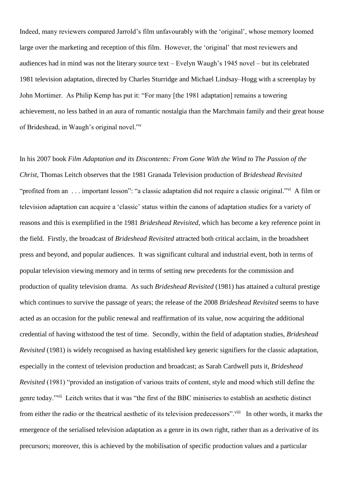Indeed, many reviewers compared Jarrold's film unfavourably with the 'original', whose memory loomed large over the marketing and reception of this film. However, the 'original' that most reviewers and audiences had in mind was not the literary source text – Evelyn Waugh's 1945 novel – but its celebrated 1981 television adaptation, directed by Charles Sturridge and Michael Lindsay–Hogg with a screenplay by John Mortimer. As Philip Kemp has put it: "For many [the 1981 adaptation] remains a towering achievement, no less bathed in an aura of romantic nostalgia than the Marchmain family and their great house of Brideshead, in Waugh's original novel."<sup>v</sup>

In his 2007 book *Film Adaptation and its Discontents: From Gone With the Wind to The Passion of the Christ*, Thomas Leitch observes that the 1981 Granada Television production of *Brideshead Revisited* "profited from an ... important lesson": "a classic adaptation did not require a classic original."<sup>vi</sup> A film or television adaptation can acquire a 'classic' status within the canons of adaptation studies for a variety of reasons and this is exemplified in the 1981 *Brideshead Revisited*, which has become a key reference point in the field. Firstly, the broadcast of *Brideshead Revisited* attracted both critical acclaim, in the broadsheet press and beyond, and popular audiences. It was significant cultural and industrial event, both in terms of popular television viewing memory and in terms of setting new precedents for the commission and production of quality television drama. As such *Brideshead Revisited* (1981) has attained a cultural prestige which continues to survive the passage of years; the release of the 2008 *Brideshead Revisited* seems to have acted as an occasion for the public renewal and reaffirmation of its value, now acquiring the additional credential of having withstood the test of time. Secondly, within the field of adaptation studies, *Brideshead Revisited* (1981) is widely recognised as having established key generic signifiers for the classic adaptation, especially in the context of television production and broadcast; as Sarah Cardwell puts it, *Brideshead Revisited* (1981) "provided an instigation of various traits of content, style and mood which still define the genre today."vii Leitch writes that it was "the first of the BBC miniseries to establish an aesthetic distinct from either the radio or the theatrical aesthetic of its television predecessors".<sup>viii</sup> In other words, it marks the emergence of the serialised television adaptation as a genre in its own right, rather than as a derivative of its precursors; moreover, this is achieved by the mobilisation of specific production values and a particular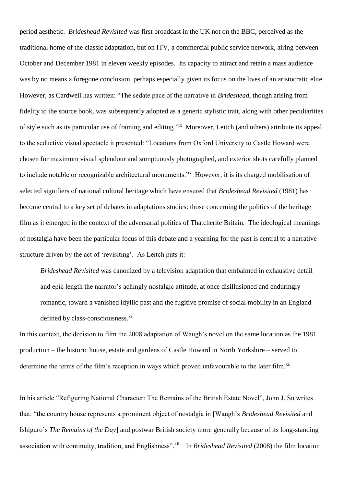period aesthetic. *Brideshead Revisited* was first broadcast in the UK not on the BBC, perceived as the traditional home of the classic adaptation, but on ITV, a commercial public service network, airing between October and December 1981 in eleven weekly episodes. Its capacity to attract and retain a mass audience was by no means a foregone conclusion, perhaps especially given its focus on the lives of an aristocratic elite. However, as Cardwell has written: "The sedate pace of the narrative in *Brideshead*, though arising from fidelity to the source book, was subsequently adopted as a generic stylistic trait, along with other peculiarities of style such as its particular use of framing and editing." Moreover, Leitch (and others) attribute its appeal to the seductive visual spectacle it presented: "Locations from Oxford University to Castle Howard were chosen for maximum visual splendour and sumptuously photographed, and exterior shots carefully planned to include notable or recognizable architectural monuments." However, it is its charged mobilisation of selected signifiers of national cultural heritage which have ensured that *Brideshead Revisited* (1981) has become central to a key set of debates in adaptations studies: those concerning the politics of the heritage film as it emerged in the context of the adversarial politics of Thatcherite Britain. The ideological meanings of nostalgia have been the particular focus of this debate and a yearning for the past is central to a narrative structure driven by the act of 'revisiting'. As Leitch puts it:

*Brideshead Revisited* was canonized by a television adaptation that embalmed in exhaustive detail and epic length the narrator's achingly nostalgic attitude, at once disillusioned and enduringly romantic, toward a vanished idyllic past and the fugitive promise of social mobility in an England defined by class-consciousness.<sup>xi</sup>

In this context, the decision to film the 2008 adaptation of Waugh's novel on the same location as the 1981 production – the historic house, estate and gardens of Castle Howard in North Yorkshire – served to determine the terms of the film's reception in ways which proved unfavourable to the later film.<sup>xii</sup>

In his article "Refiguring National Character: The Remains of the British Estate Novel", John J. Su writes that: "the country house represents a prominent object of nostalgia in [Waugh's *Brideshead Revisited* and Ishiguro's *The Remains of the Day*] and postwar British society more generally because of its long-standing association with continuity, tradition, and Englishness".<sup>xiii</sup> In *Brideshead Revisited* (2008) the film location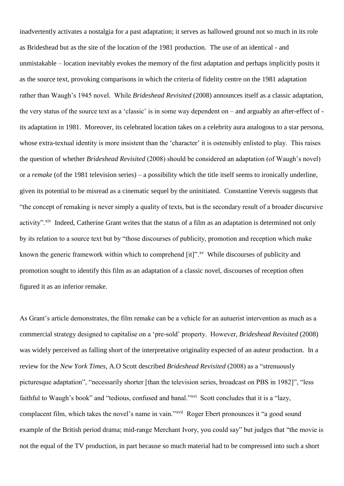inadvertently activates a nostalgia for a past adaptation; it serves as hallowed ground not so much in its role as Brideshead but as the site of the location of the 1981 production. The use of an identical - and unmistakable – location inevitably evokes the memory of the first adaptation and perhaps implicitly posits it as the source text, provoking comparisons in which the criteria of fidelity centre on the 1981 adaptation rather than Waugh's 1945 novel. While *Brideshead Revisited* (2008) announces itself as a classic adaptation, the very status of the source text as a 'classic' is in some way dependent on – and arguably an after-effect of its adaptation in 1981. Moreover, its celebrated location takes on a celebrity aura analogous to a star persona, whose extra-textual identity is more insistent than the 'character' it is ostensibly enlisted to play. This raises the question of whether *Brideshead Revisited* (2008) should be considered an adaptation (of Waugh's novel) or a *remake* (of the 1981 television series) – a possibility which the title itself seems to ironically underline, given its potential to be misread as a cinematic sequel by the uninitiated. Constantine Verevis suggests that "the concept of remaking is never simply a quality of texts, but is the secondary result of a broader discursive activity".<sup>xiv</sup> Indeed, Catherine Grant writes that the status of a film as an adaptation is determined not only by its relation to a source text but by "those discourses of publicity, promotion and reception which make known the generic framework within which to comprehend [it]".<sup>xv</sup> While discourses of publicity and promotion sought to identify this film as an adaptation of a classic novel, discourses of reception often figured it as an inferior remake.

As Grant's article demonstrates, the film remake can be a vehicle for an autuerist intervention as much as a commercial strategy designed to capitalise on a 'pre-sold' property. However, *Brideshead Revisited* (2008) was widely perceived as falling short of the interpretative originality expected of an auteur production. In a review for the *New York Times*, A.O Scott described *Brideshead Revisited* (2008) as a "strenuously picturesque adaptation", "necessarily shorter [than the television series, broadcast on PBS in 1982]", "less faithful to Waugh's book" and "tedious, confused and banal."<sup>xvi</sup> Scott concludes that it is a "lazy, complacent film, which takes the novel's name in vain."<sup>xvii</sup> Roger Ebert pronounces it "a good sound example of the British period drama; mid-range Merchant Ivory, you could say" but judges that "the movie is not the equal of the TV production, in part because so much material had to be compressed into such a short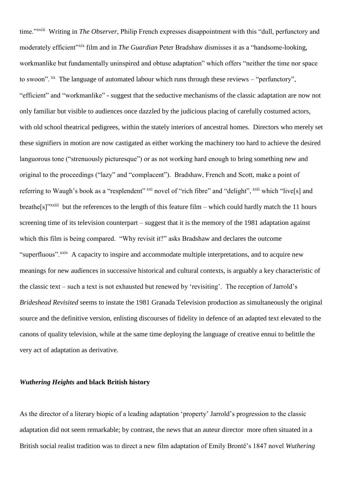time."xviii Writing in *The Observer*, Philip French expresses disappointment with this "dull, perfunctory and moderately efficient"xix film and in *The Guardian* Peter Bradshaw dismisses it as a "handsome-looking, workmanlike but fundamentally uninspired and obtuse adaptation" which offers "neither the time nor space to swoon".  $\frac{xx}{x}$  The language of automated labour which runs through these reviews – "perfunctory", "efficient" and "workmanlike" - suggest that the seductive mechanisms of the classic adaptation are now not only familiar but visible to audiences once dazzled by the judicious placing of carefully costumed actors, with old school theatrical pedigrees, within the stately interiors of ancestral homes. Directors who merely set these signifiers in motion are now castigated as either working the machinery too hard to achieve the desired languorous tone ("strenuously picturesque") or as not working hard enough to bring something new and original to the proceedings ("lazy" and "complacent"). Bradshaw, French and Scott, make a point of referring to Waugh's book as a "resplendent" xxi novel of "rich fibre" and "delight", xxii which "live[s] and breathe[s]"<sup>xxiii</sup> but the references to the length of this feature film – which could hardly match the 11 hours screening time of its television counterpart – suggest that it is the memory of the 1981 adaptation against which this film is being compared. "Why revisit it?" asks Bradshaw and declares the outcome "superfluous".<sup>xxiv</sup> A capacity to inspire and accommodate multiple interpretations, and to acquire new meanings for new audiences in successive historical and cultural contexts, is arguably a key characteristic of the classic text – such a text is not exhausted but renewed by 'revisiting'. The reception of Jarrold's *Brideshead Revisited* seems to instate the 1981 Granada Television production as simultaneously the original source and the definitive version, enlisting discourses of fidelity in defence of an adapted text elevated to the canons of quality television, while at the same time deploying the language of creative ennui to belittle the very act of adaptation as derivative.

## *Wuthering Heights* **and black British history**

As the director of a literary biopic of a leading adaptation 'property' Jarrold's progression to the classic adaptation did not seem remarkable; by contrast, the news that an auteur director more often situated in a British social realist tradition was to direct a new film adaptation of Emily Brontë's 1847 novel *Wuthering*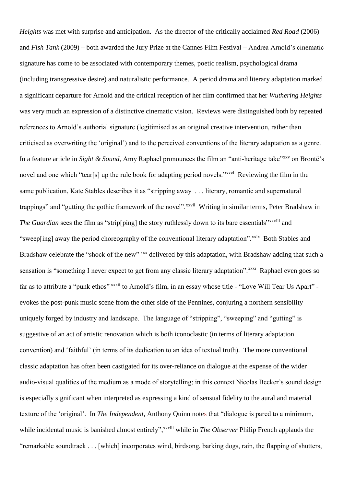*Heights* was met with surprise and anticipation. As the director of the critically acclaimed *Red Road* (2006) and *Fish Tank* (2009) – both awarded the Jury Prize at the Cannes Film Festival – Andrea Arnold's cinematic signature has come to be associated with contemporary themes, poetic realism, psychological drama (including transgressive desire) and naturalistic performance. A period drama and literary adaptation marked a significant departure for Arnold and the critical reception of her film confirmed that her *Wuthering Heights* was very much an expression of a distinctive cinematic vision. Reviews were distinguished both by repeated references to Arnold's authorial signature (legitimised as an original creative intervention, rather than criticised as overwriting the 'original') and to the perceived conventions of the literary adaptation as a genre. In a feature article in *Sight & Sound*, Amy Raphael pronounces the film an "anti-heritage take"xxv on Brontë's novel and one which "tear[s] up the rule book for adapting period novels."<sup>xxvi</sup> Reviewing the film in the same publication, Kate Stables describes it as "stripping away . . . literary, romantic and supernatural trappings" and "gutting the gothic framework of the novel".<sup>xxvii</sup> Writing in similar terms, Peter Bradshaw in *The Guardian* sees the film as "strip[ping] the story ruthlessly down to its bare essentials"<sup>xxxviii</sup> and "sweep[ing] away the period choreography of the conventional literary adaptation".<sup>xxix</sup> Both Stables and Bradshaw celebrate the "shock of the new" xxx delivered by this adaptation, with Bradshaw adding that such a sensation is "something I never expect to get from any classic literary adaptation". *xxxi* Raphael even goes so far as to attribute a "punk ethos" xxxii to Arnold's film, in an essay whose title - "Love Will Tear Us Apart" evokes the post-punk music scene from the other side of the Pennines, conjuring a northern sensibility uniquely forged by industry and landscape. The language of "stripping", "sweeping" and "gutting" is suggestive of an act of artistic renovation which is both iconoclastic (in terms of literary adaptation convention) and 'faithful' (in terms of its dedication to an idea of textual truth). The more conventional classic adaptation has often been castigated for its over-reliance on dialogue at the expense of the wider audio-visual qualities of the medium as a mode of storytelling; in this context Nicolas Becker's sound design is especially significant when interpreted as expressing a kind of sensual fidelity to the aural and material texture of the 'original'. In *The Independent*, Anthony Quinn notes that "dialogue is pared to a minimum, while incidental music is banished almost entirely",<sup>xxxiii</sup> while in *The Observer* Philip French applauds the "remarkable soundtrack . . . [which] incorporates wind, birdsong, barking dogs, rain, the flapping of shutters,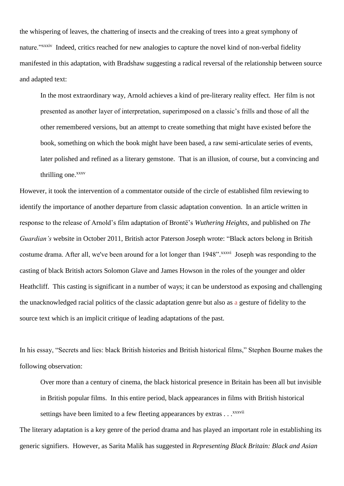the whispering of leaves, the chattering of insects and the creaking of trees into a great symphony of nature."<sup>xxxxiv</sup> Indeed, critics reached for new analogies to capture the novel kind of non-verbal fidelity manifested in this adaptation, with Bradshaw suggesting a radical reversal of the relationship between source and adapted text:

In the most extraordinary way, Arnold achieves a kind of pre-literary reality effect. Her film is not presented as another layer of interpretation, superimposed on a classic's frills and those of all the other remembered versions, but an attempt to create something that might have existed before the book, something on which the book might have been based, a raw semi-articulate series of events, later polished and refined as a literary gemstone. That is an illusion, of course, but a convincing and thrilling one.<sup>xxxv</sup>

However, it took the intervention of a commentator outside of the circle of established film reviewing to identify the importance of another departure from classic adaptation convention. In an article written in response to the release of Arnold's film adaptation of Brontë's *Wuthering Heights*, and published on *The Guardian's* website in October 2011, British actor Paterson Joseph wrote: "Black actors belong in British costume drama. After all, we've been around for a lot longer than 1948".<sup>xxxvi</sup> Joseph was responding to the casting of black British actors Solomon Glave and James Howson in the roles of the younger and older Heathcliff. This casting is significant in a number of ways; it can be understood as exposing and challenging the unacknowledged racial politics of the classic adaptation genre but also as a gesture of fidelity to the source text which is an implicit critique of leading adaptations of the past.

In his essay, "Secrets and lies: black British histories and British historical films," Stephen Bourne makes the following observation:

Over more than a century of cinema, the black historical presence in Britain has been all but invisible in British popular films. In this entire period, black appearances in films with British historical settings have been limited to a few fleeting appearances by extras . . .<sup>xxxvii</sup>

The literary adaptation is a key genre of the period drama and has played an important role in establishing its generic signifiers. However, as Sarita Malik has suggested in *Representing Black Britain: Black and Asian*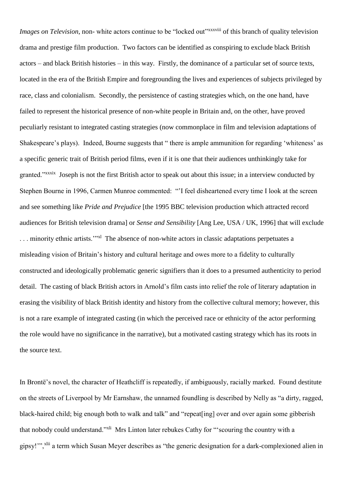*Images on Television*, non- white actors continue to be "locked out"<sup>xxxviii</sup> of this branch of quality television drama and prestige film production. Two factors can be identified as conspiring to exclude black British actors – and black British histories – in this way. Firstly, the dominance of a particular set of source texts, located in the era of the British Empire and foregrounding the lives and experiences of subjects privileged by race, class and colonialism. Secondly, the persistence of casting strategies which, on the one hand, have failed to represent the historical presence of non-white people in Britain and, on the other, have proved peculiarly resistant to integrated casting strategies (now commonplace in film and television adaptations of Shakespeare's plays). Indeed, Bourne suggests that " there is ample ammunition for regarding 'whiteness' as a specific generic trait of British period films, even if it is one that their audiences unthinkingly take for granted."<sup>xxxxix</sup> Joseph is not the first British actor to speak out about this issue; in a interview conducted by Stephen Bourne in 1996, Carmen Munroe commented: "'I feel disheartened every time I look at the screen and see something like *Pride and Prejudice* [the 1995 BBC television production which attracted record audiences for British television drama] or *Sense and Sensibility* [Ang Lee, USA / UK, 1996] that will exclude ... minority ethnic artists."<sup>xl</sup> The absence of non-white actors in classic adaptations perpetuates a misleading vision of Britain's history and cultural heritage and owes more to a fidelity to culturally constructed and ideologically problematic generic signifiers than it does to a presumed authenticity to period detail. The casting of black British actors in Arnold's film casts into relief the role of literary adaptation in erasing the visibility of black British identity and history from the collective cultural memory; however, this is not a rare example of integrated casting (in which the perceived race or ethnicity of the actor performing the role would have no significance in the narrative), but a motivated casting strategy which has its roots in the source text.

In Brontë's novel, the character of Heathcliff is repeatedly, if ambiguously, racially marked. Found destitute on the streets of Liverpool by Mr Earnshaw, the unnamed foundling is described by Nelly as "a dirty, ragged, black-haired child; big enough both to walk and talk" and "repeat[ing] over and over again some gibberish that nobody could understand."<sup>xli</sup> Mrs Linton later rebukes Cathy for "'scouring the country with a gipsy!'",xlii a term which Susan Meyer describes as "the generic designation for a dark-complexioned alien in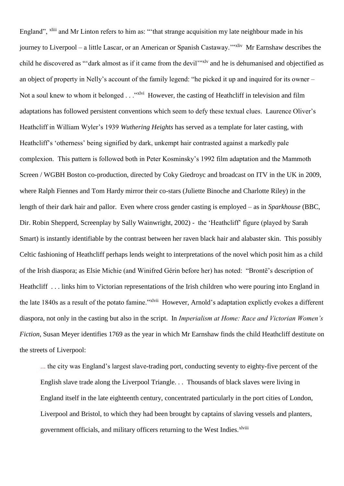England", <sup>xliii</sup> and Mr Linton refers to him as: "that strange acquisition my late neighbour made in his journey to Liverpool – a little Lascar, or an American or Spanish Castaway.<sup>'"xliv</sup> Mr Earnshaw describes the child he discovered as "'dark almost as if it came from the devil<sup>""xly</sup> and he is dehumanised and objectified as an object of property in Nelly's account of the family legend: "he picked it up and inquired for its owner – Not a soul knew to whom it belonged . . ."<sup>xlvi</sup> However, the casting of Heathcliff in television and film adaptations has followed persistent conventions which seem to defy these textual clues. Laurence Oliver's Heathcliff in William Wyler's 1939 *Wuthering Heights* has served as a template for later casting, with Heathcliff's 'otherness' being signified by dark, unkempt hair contrasted against a markedly pale complexion. This pattern is followed both in Peter Kosminsky's 1992 film adaptation and the Mammoth Screen / WGBH Boston co-production, directed by Coky Giedroyc and broadcast on ITV in the UK in 2009, where Ralph Fiennes and Tom Hardy mirror their co-stars (Juliette Binoche and Charlotte Riley) in the length of their dark hair and pallor. Even where cross gender casting is employed – as in *Sparkhouse* (BBC, Dir. Robin Shepperd, Screenplay by Sally Wainwright, 2002) - the 'Heathcliff' figure (played by Sarah Smart) is instantly identifiable by the contrast between her raven black hair and alabaster skin. This possibly Celtic fashioning of Heathcliff perhaps lends weight to interpretations of the novel which posit him as a child of the Irish diaspora; as Elsie Michie (and Winifred Gérin before her) has noted: "Brontë's description of Heathcliff . . . links him to Victorian representations of the Irish children who were pouring into England in the late 1840s as a result of the potato famine."<sup>xlvii</sup> However, Arnold's adaptation explictly evokes a different diaspora, not only in the casting but also in the script. In *Imperialism at Home: Race and Victorian Women's Fiction*, Susan Meyer identifies 1769 as the year in which Mr Earnshaw finds the child Heathcliff destitute on the streets of Liverpool:

... the city was England's largest slave-trading port, conducting seventy to eighty-five percent of the English slave trade along the Liverpool Triangle. . . Thousands of black slaves were living in England itself in the late eighteenth century, concentrated particularly in the port cities of London, Liverpool and Bristol, to which they had been brought by captains of slaving vessels and planters, government officials, and military officers returning to the West Indies.<sup>xlviii</sup>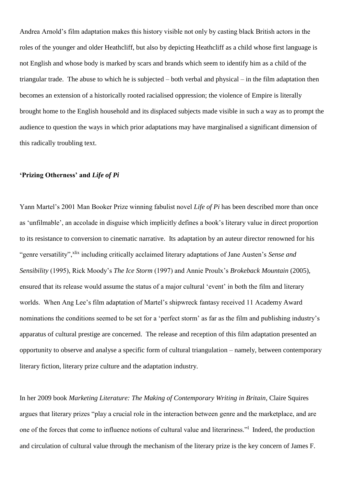Andrea Arnold's film adaptation makes this history visible not only by casting black British actors in the roles of the younger and older Heathcliff, but also by depicting Heathcliff as a child whose first language is not English and whose body is marked by scars and brands which seem to identify him as a child of the triangular trade. The abuse to which he is subjected – both verbal and physical – in the film adaptation then becomes an extension of a historically rooted racialised oppression; the violence of Empire is literally brought home to the English household and its displaced subjects made visible in such a way as to prompt the audience to question the ways in which prior adaptations may have marginalised a significant dimension of this radically troubling text.

### **'Prizing Otherness' and** *Life of Pi*

Yann Martel's 2001 Man Booker Prize winning fabulist novel *Life of Pi* has been described more than once as 'unfilmable', an accolade in disguise which implicitly defines a book's literary value in direct proportion to its resistance to conversion to cinematic narrative. Its adaptation by an auteur director renowned for his "genre versatility",<sup>xlix</sup> including critically acclaimed literary adaptations of Jane Austen's *Sense and Sensibility* (1995), Rick Moody's *The Ice Storm* (1997) and Annie Proulx's *Brokeback Mountain* (2005), ensured that its release would assume the status of a major cultural 'event' in both the film and literary worlds. When Ang Lee's film adaptation of Martel's shipwreck fantasy received 11 Academy Award nominations the conditions seemed to be set for a 'perfect storm' as far as the film and publishing industry's apparatus of cultural prestige are concerned. The release and reception of this film adaptation presented an opportunity to observe and analyse a specific form of cultural triangulation – namely, between contemporary literary fiction, literary prize culture and the adaptation industry.

In her 2009 book *Marketing Literature: The Making of Contemporary Writing in Britain*, Claire Squires argues that literary prizes "play a crucial role in the interaction between genre and the marketplace, and are one of the forces that come to influence notions of cultural value and literariness."<sup>1</sup> Indeed, the production and circulation of cultural value through the mechanism of the literary prize is the key concern of James F.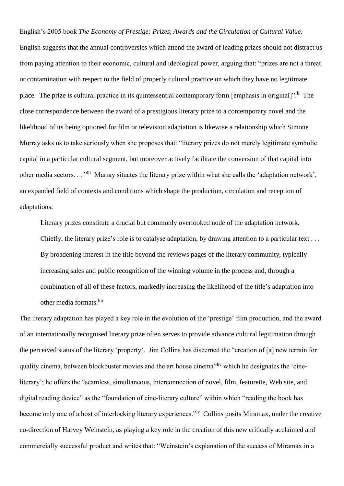English's 2005 book *The Economy of Prestige: Prizes, Awards and the Circulation of Cultural Value*. English suggests that the annual controversies which attend the award of leading prizes should not distract us from paying attention to their economic, cultural and ideological power, arguing that: "prizes are not a threat or contamination with respect to the field of properly cultural practice on which they have no legitimate place. The prize *is* cultural practice in its quintessential contemporary form [emphasis in original]".<sup>1</sup> The close correspondence between the award of a prestigious literary prize to a contemporary novel and the likelihood of its being optioned for film or television adaptation is likewise a relationship which Simone Murray asks us to take seriously when she proposes that: "literary prizes do not merely legitimate symbolic capital in a particular cultural segment, but moreover actively facilitate the conversion of that capital into other media sectors. . . "<sup>lii</sup> Murray situates the literary prize within what she calls the 'adaptation network', an expanded field of contexts and conditions which shape the production, circulation and reception of adaptations:

Literary prizes constitute a crucial but commonly overlooked node of the adaptation network. Chiefly, the literary prize's role is to catalyse adaptation, by drawing attention to a particular text . . . By broadening interest in the title beyond the reviews pages of the literary community, typically increasing sales and public recognition of the winning volume in the process and, through a combination of all of these factors, markedly increasing the likelihood of the title's adaptation into other media formats.<sup>liii</sup>

The literary adaptation has played a key role in the evolution of the 'prestige' film production, and the award of an internationally recognised literary prize often serves to provide advance cultural legitimation through the perceived status of the literary 'property'. Jim Collins has discerned the "creation of [a] new terrain for quality cinema, between blockbuster movies and the art house cinema<sup>"liv</sup> which he designates the 'cineliterary'; he offers the "seamless, simultaneous, interconnection of novel, film, featurette, Web site, and digital reading device" as the "foundation of cine-literary culture" within which "reading the book has become only one of a host of interlocking literary experiences."<sup>Iv</sup> Collins posits Miramax, under the creative co-direction of Harvey Weinstein, as playing a key role in the creation of this new critically acclaimed and commercially successful product and writes that: "Weinstein's explanation of the success of Miramax in a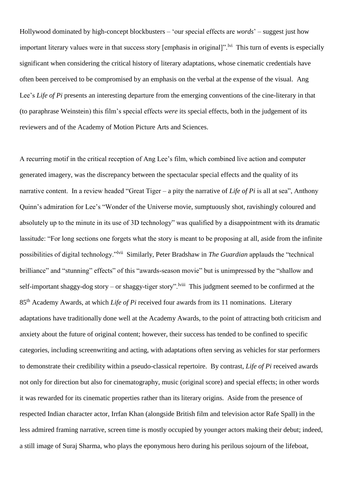Hollywood dominated by high-concept blockbusters – 'our special effects are *words*' – suggest just how important literary values were in that success story [emphasis in original]".<sup>Ivi</sup> This turn of events is especially significant when considering the critical history of literary adaptations, whose cinematic credentials have often been perceived to be compromised by an emphasis on the verbal at the expense of the visual. Ang Lee's *Life of Pi* presents an interesting departure from the emerging conventions of the cine-literary in that (to paraphrase Weinstein) this film's special effects *were* its special effects, both in the judgement of its reviewers and of the Academy of Motion Picture Arts and Sciences.

A recurring motif in the critical reception of Ang Lee's film, which combined live action and computer generated imagery, was the discrepancy between the spectacular special effects and the quality of its narrative content. In a review headed "Great Tiger – a pity the narrative of *Life of Pi* is all at sea", Anthony Quinn's admiration for Lee's "Wonder of the Universe movie, sumptuously shot, ravishingly coloured and absolutely up to the minute in its use of 3D technology" was qualified by a disappointment with its dramatic lassitude: "For long sections one forgets what the story is meant to be proposing at all, aside from the infinite possibilities of digital technology."lvii Similarly, Peter Bradshaw in *The Guardian* applauds the "technical brilliance" and "stunning" effects" of this "awards-season movie" but is unimpressed by the "shallow and self-important shaggy-dog story – or shaggy-tiger story".<sup>1viii</sup> This judgment seemed to be confirmed at the 85th Academy Awards, at which *Life of Pi* received four awards from its 11 nominations. Literary adaptations have traditionally done well at the Academy Awards, to the point of attracting both criticism and anxiety about the future of original content; however, their success has tended to be confined to specific categories, including screenwriting and acting, with adaptations often serving as vehicles for star performers to demonstrate their credibility within a pseudo-classical repertoire. By contrast, *Life of Pi* received awards not only for direction but also for cinematography, music (original score) and special effects; in other words it was rewarded for its cinematic properties rather than its literary origins. Aside from the presence of respected Indian character actor, Irrfan Khan (alongside British film and television actor Rafe Spall) in the less admired framing narrative, screen time is mostly occupied by younger actors making their debut; indeed, a still image of Suraj Sharma, who plays the eponymous hero during his perilous sojourn of the lifeboat,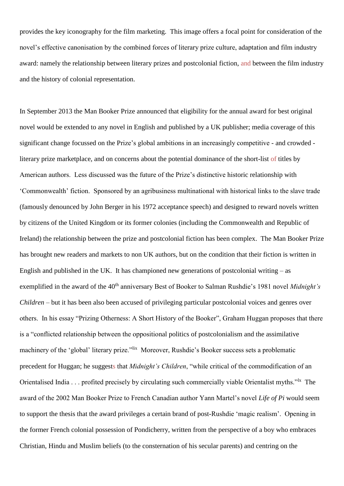provides the key iconography for the film marketing. This image offers a focal point for consideration of the novel's effective canonisation by the combined forces of literary prize culture, adaptation and film industry award: namely the relationship between literary prizes and postcolonial fiction, and between the film industry and the history of colonial representation.

In September 2013 the Man Booker Prize announced that eligibility for the annual award for best original novel would be extended to any novel in English and published by a UK publisher; media coverage of this significant change focussed on the Prize's global ambitions in an increasingly competitive - and crowded literary prize marketplace, and on concerns about the potential dominance of the short-list of titles by American authors. Less discussed was the future of the Prize's distinctive historic relationship with 'Commonwealth' fiction. Sponsored by an agribusiness multinational with historical links to the slave trade (famously denounced by John Berger in his 1972 acceptance speech) and designed to reward novels written by citizens of the United Kingdom or its former colonies (including the Commonwealth and Republic of Ireland) the relationship between the prize and postcolonial fiction has been complex. The Man Booker Prize has brought new readers and markets to non UK authors, but on the condition that their fiction is written in English and published in the UK. It has championed new generations of postcolonial writing  $-$  as exemplified in the award of the 40<sup>th</sup> anniversary Best of Booker to Salman Rushdie's 1981 novel *Midnight's Children* – but it has been also been accused of privileging particular postcolonial voices and genres over others. In his essay "Prizing Otherness: A Short History of the Booker", Graham Huggan proposes that there is a "conflicted relationship between the oppositional politics of postcolonialism and the assimilative machinery of the 'global' literary prize."<sup>lix</sup> Moreover, Rushdie's Booker success sets a problematic precedent for Huggan; he suggests that *Midnight's Children*, "while critical of the commodification of an Orientalised India . . . profited precisely by circulating such commercially viable Orientalist myths."<sup>1x</sup> The award of the 2002 Man Booker Prize to French Canadian author Yann Martel's novel *Life of Pi* would seem to support the thesis that the award privileges a certain brand of post-Rushdie 'magic realism'. Opening in the former French colonial possession of Pondicherry, written from the perspective of a boy who embraces Christian, Hindu and Muslim beliefs (to the consternation of his secular parents) and centring on the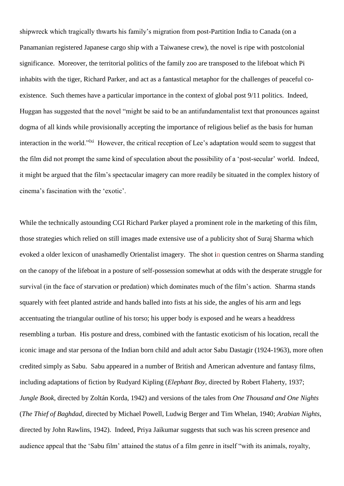shipwreck which tragically thwarts his family's migration from post-Partition India to Canada (on a Panamanian registered Japanese cargo ship with a Taiwanese crew), the novel is ripe with postcolonial significance. Moreover, the territorial politics of the family zoo are transposed to the lifeboat which Pi inhabits with the tiger, Richard Parker, and act as a fantastical metaphor for the challenges of peaceful coexistence. Such themes have a particular importance in the context of global post 9/11 politics. Indeed, Huggan has suggested that the novel "might be said to be an antifundamentalist text that pronounces against dogma of all kinds while provisionally accepting the importance of religious belief as the basis for human interaction in the world."<sup>Ixi</sup> However, the critical reception of Lee's adaptation would seem to suggest that the film did not prompt the same kind of speculation about the possibility of a 'post-secular' world. Indeed, it might be argued that the film's spectacular imagery can more readily be situated in the complex history of cinema's fascination with the 'exotic'.

While the technically astounding CGI Richard Parker played a prominent role in the marketing of this film, those strategies which relied on still images made extensive use of a publicity shot of Suraj Sharma which evoked a older lexicon of unashamedly Orientalist imagery. The shot in question centres on Sharma standing on the canopy of the lifeboat in a posture of self-possession somewhat at odds with the desperate struggle for survival (in the face of starvation or predation) which dominates much of the film's action. Sharma stands squarely with feet planted astride and hands balled into fists at his side, the angles of his arm and legs accentuating the triangular outline of his torso; his upper body is exposed and he wears a headdress resembling a turban. His posture and dress, combined with the fantastic exoticism of his location, recall the iconic image and star persona of the Indian born child and adult actor Sabu Dastagir (1924-1963), more often credited simply as Sabu. Sabu appeared in a number of British and American adventure and fantasy films, including adaptations of fiction by Rudyard Kipling (*Elephant Boy*, directed by Robert Flaherty, 1937; *Jungle Book*, directed by Zoltán Korda, 1942) and versions of the tales from *One Thousand and One Nights*  (*The Thief of Baghdad*, directed by Michael Powell, Ludwig Berger and Tim Whelan, 1940; *Arabian Nights*, directed by John Rawlins, 1942). Indeed, Priya Jaikumar suggests that such was his screen presence and audience appeal that the 'Sabu film' attained the status of a film genre in itself "with its animals, royalty,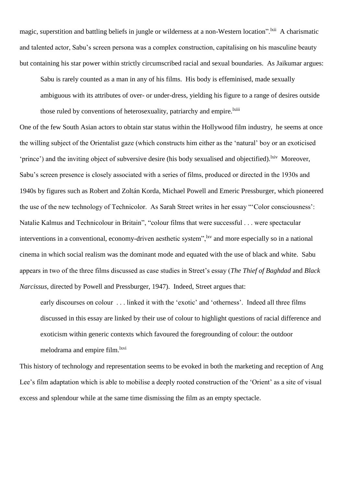magic, superstition and battling beliefs in jungle or wilderness at a non-Western location".<sup>1xii</sup> A charismatic and talented actor, Sabu's screen persona was a complex construction, capitalising on his masculine beauty but containing his star power within strictly circumscribed racial and sexual boundaries. As Jaikumar argues:

Sabu is rarely counted as a man in any of his films. His body is effeminised, made sexually ambiguous with its attributes of over- or under-dress, yielding his figure to a range of desires outside those ruled by conventions of heterosexuality, patriarchy and empire.<sup>lxiii</sup>

One of the few South Asian actors to obtain star status within the Hollywood film industry, he seems at once the willing subject of the Orientalist gaze (which constructs him either as the 'natural' boy or an exoticised 'prince') and the inviting object of subversive desire (his body sexualised and objectified).<sup>1xiv</sup> Moreover, Sabu's screen presence is closely associated with a series of films, produced or directed in the 1930s and 1940s by figures such as Robert and Zoltán Korda, Michael Powell and Emeric Pressburger, which pioneered the use of the new technology of Technicolor. As Sarah Street writes in her essay "'Color consciousness': Natalie Kalmus and Technicolour in Britain", "colour films that were successful . . . were spectacular interventions in a conventional, economy-driven aesthetic system", <sup>lxv</sup> and more especially so in a national cinema in which social realism was the dominant mode and equated with the use of black and white. Sabu appears in two of the three films discussed as case studies in Street's essay (*The Thief of Baghdad* and *Black Narcissus*, directed by Powell and Pressburger, 1947). Indeed, Street argues that:

early discourses on colour . . . linked it with the 'exotic' and 'otherness'. Indeed all three films discussed in this essay are linked by their use of colour to highlight questions of racial difference and exoticism within generic contexts which favoured the foregrounding of colour: the outdoor melodrama and empire film.<sup>lxvi</sup>

This history of technology and representation seems to be evoked in both the marketing and reception of Ang Lee's film adaptation which is able to mobilise a deeply rooted construction of the 'Orient' as a site of visual excess and splendour while at the same time dismissing the film as an empty spectacle.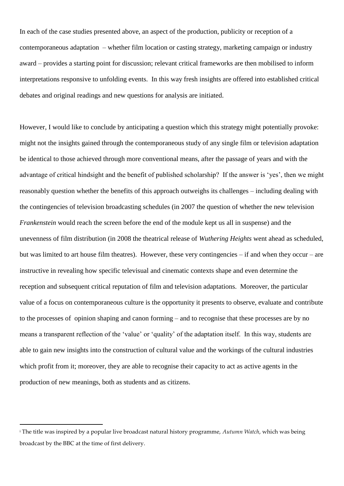In each of the case studies presented above, an aspect of the production, publicity or reception of a contemporaneous adaptation – whether film location or casting strategy, marketing campaign or industry award – provides a starting point for discussion; relevant critical frameworks are then mobilised to inform interpretations responsive to unfolding events. In this way fresh insights are offered into established critical debates and original readings and new questions for analysis are initiated.

However, I would like to conclude by anticipating a question which this strategy might potentially provoke: might not the insights gained through the contemporaneous study of any single film or television adaptation be identical to those achieved through more conventional means, after the passage of years and with the advantage of critical hindsight and the benefit of published scholarship? If the answer is 'yes', then we might reasonably question whether the benefits of this approach outweighs its challenges – including dealing with the contingencies of television broadcasting schedules (in 2007 the question of whether the new television *Frankenstein* would reach the screen before the end of the module kept us all in suspense) and the unevenness of film distribution (in 2008 the theatrical release of *Wuthering Heights* went ahead as scheduled, but was limited to art house film theatres). However, these very contingencies – if and when they occur – are instructive in revealing how specific televisual and cinematic contexts shape and even determine the reception and subsequent critical reputation of film and television adaptations. Moreover, the particular value of a focus on contemporaneous culture is the opportunity it presents to observe, evaluate and contribute to the processes of opinion shaping and canon forming – and to recognise that these processes are by no means a transparent reflection of the 'value' or 'quality' of the adaptation itself. In this way, students are able to gain new insights into the construction of cultural value and the workings of the cultural industries which profit from it; moreover, they are able to recognise their capacity to act as active agents in the production of new meanings, both as students and as citizens.

l

<sup>i</sup> The title was inspired by a popular live broadcast natural history programme, *Autumn Watch*, which was being broadcast by the BBC at the time of first delivery.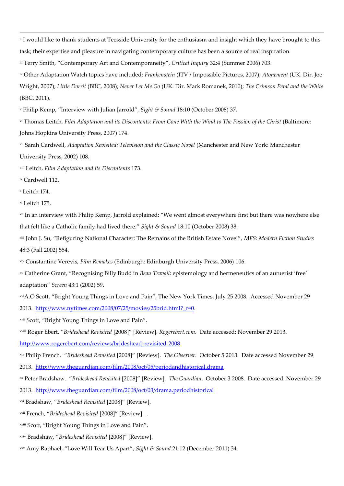ii I would like to thank students at Teesside University for the enthusiasm and insight which they have brought to this

task; their expertise and pleasure in navigating contemporary culture has been a source of real inspiration.

iii Terry Smith, "Contemporary Art and Contemporaneity", *Critical Inquiry* 32:4 (Summer 2006) 703.

iv Other Adaptation Watch topics have included: *Frankenstein* (ITV / Impossible Pictures, 2007); *Atonement* (UK. Dir. Joe Wright, 2007); *Little Dorrit* (BBC, 2008); *Never Let Me Go* (UK. Dir. Mark Romanek, 2010); *The Crimson Petal and the White* (BBC, 2011).

<sup>v</sup> Philip Kemp, "Interview with Julian Jarrold", *Sight & Sound* 18:10 (October 2008) 37.

vi Thomas Leitch, *Film Adaptation and its Discontents: From Gone With the Wind to The Passion of the Christ* (Baltimore: Johns Hopkins University Press, 2007) 174.

vii Sarah Cardwell, *Adaptation Revisited: Television and the Classic Novel* (Manchester and New York: Manchester University Press, 2002) 108.

viii Leitch, *Film Adaptation and its Discontents* 173.

ix Cardwell 112.

<sup>x</sup> Leitch 174.

 $\overline{a}$ 

xi Leitch 175.

xii In an interview with Philip Kemp, Jarrold explained: "We went almost everywhere first but there was nowhere else that felt like a Catholic family had lived there." *Sight & Sound* 18:10 (October 2008) 38.

xiii John J. Su, "Refiguring National Character: The Remains of the British Estate Novel", *MFS: Modern Fiction Studies* 48:3 (Fall 2002) 554.

xiv Constantine Verevis, *Film Remakes* (Edinburgh: Edinburgh University Press, 2006) 106.

- xv Catherine Grant, "Recognising Billy Budd in *Beau Travail*: epistemology and hermeneutics of an autuerist 'free' adaptation" *Screen* 43:1 (2002) 59.
- xviA.O Scott, "Bright Young Things in Love and Pain", The New York Times, July 25 2008. Accessed November 29 2013. [http://www.nytimes.com/2008/07/25/movies/25brid.html?\\_r=0.](http://www.nytimes.com/2008/07/25/movies/25brid.html?_r=0)

xvii Scott, "Bright Young Things in Love and Pain".

xviii Roger Ebert. "*Brideshead Revisited* [2008]" [Review]. *Rogerebert.com*. Date accessed: November 29 2013.

<http://www.rogerebert.com/reviews/brideshead-revisited-2008>

xix Philip French. "*Brideshead Revisited* [2008]" [Review]. *The Observer*. October 5 2013. Date accessed November 29 2013. <http://www.theguardian.com/film/2008/oct/05/periodandhistorical.drama>

xx Peter Bradshaw. "*Brideshead Revisited* [2008]" [Review]. *The Guardian*. October 3 2008. Date accessed: November 29 2013. <http://www.theguardian.com/film/2008/oct/03/drama.periodhistorical>

xxi Bradshaw, "*Brideshead Revisited* [2008]" [Review].

xxii French, "*Brideshead Revisited* [2008]" [Review]. .

xxiii Scott, "Bright Young Things in Love and Pain".

xxiv Bradshaw, "*Brideshead Revisited* [2008]" [Review].

xxv Amy Raphael, "Love Will Tear Us Apart", *Sight & Sound* 21:12 (December 2011) 34.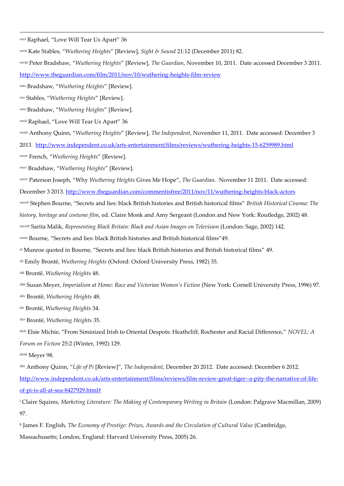xxvi Raphael, "Love Will Tear Us Apart" 36

 $\overline{a}$ 

xxvii Kate Stables, "*Wuthering Heights*" [Review], *Sight & Sound* 21:12 (December 2011) 82.

xxviii Peter Bradshaw, "*Wuthering Heights*" [Review], *The Guardian*, November 10, 2011. Date accessed December 3 2011. <http://www.theguardian.com/film/2011/nov/10/wuthering-heights-film-review>

xxix Bradshaw, "*Wuthering Heights*" [Review].

xxx Stables, "*Wuthering Heights*" [Review].

xxxi Bradshaw, "*Wuthering Heights*" [Review].

xxxii Raphael, "Love Will Tear Us Apart" 36

xxxiii Anthony Quinn, "*Wuthering Heights*" [Review], *The Independent*, November 11, 2011. Date accessed: December 3

2013. <http://www.independent.co.uk/arts-entertainment/films/reviews/wuthering-heights-15-6259989.html>

xxxiv French, "*Wuthering Heights*" [Review].

xxxv Bradshaw, "*Wuthering Heights*" [Review].

xxxvi Paterson Joseph, "Why *Wuthering Heights* Gives Me Hope", *The Guardian*. November 11 2011. Date accessed: December 3 2013.<http://www.theguardian.com/commentisfree/2011/nov/11/wuthering-heights-black-actors>

xxxvii Stephen Bourne, "Secrets and lies: black British histories and British historical films" *British Historical Cinema: The* 

*history, heritage and costume film*, ed. Claire Monk and Amy Sergeant (London and New York: Routledge, 2002) 48.

xxxviii Sarita Malik, *Representing Black Britain: Black and Asian Images on Television* (London: Sage, 2002) 142.

xxxix Bourne, "Secrets and lies: black British histories and British historical films"49.

x<sup>1</sup> Munroe quoted in Bourne, "Secrets and lies: black British histories and British historical films" 49.

xli Emily Brontë, *Wuthering Heights* (Oxford: Oxford University Press, 1982) 35.

xlii Brontë, *Wuthering Heights* 48.

xliii Susan Meyer, *Imperialism at Home: Race and Victorian Women's Fiction* (New York: Cornell University Press, 1996) 97. xliv Brontë, *Wuthering Heights* 48.

xlv Brontë, *Wuthering Heights* 34.

xlvi Brontë, *Wuthering Heights* 35.

xlvii Elsie Michie, "From Siminized Irish to Oriental Despots: Heathcliff, Rochester and Racial Difference," *NOVEL: A Forum on Fiction* 25:2 (Winter, 1992) 129.

xlviii Meyer 98.

xlix Anthony Quinn, "*Life of Pi* [Review]", *The Independent*, December 20 2012. Date accessed: December 6 2012. [http://www.independent.co.uk/arts-entertainment/films/reviews/film-review-great-tiger--a-pity-the-narrative-of-life](http://www.independent.co.uk/arts-entertainment/films/reviews/film-review-great-tiger--a-pity-the-narrative-of-life-of-pi-is-all-at-sea-8427929.html)[of-pi-is-all-at-sea-8427929.html#](http://www.independent.co.uk/arts-entertainment/films/reviews/film-review-great-tiger--a-pity-the-narrative-of-life-of-pi-is-all-at-sea-8427929.html)

<sup>l</sup> Claire Squires, *Marketing Literature: The Making of Contemporary Writing in Britain* (London: Palgrave Macmillan, 2009) 97.

li James F. English, *The Economy of Prestige: Prizes, Awards and the Circulation of Cultural Value* (Cambridge, Massachusetts; London, England: Harvard University Press, 2005) 26.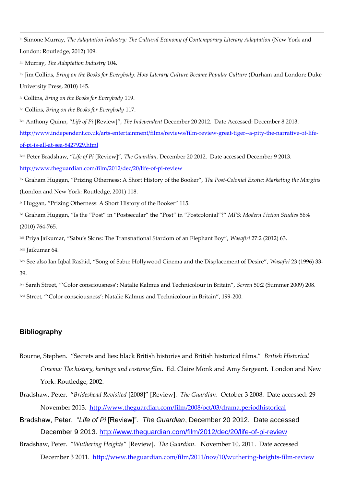London: Routledge, 2012) 109. liii Murray, *The Adaptation Industry* 104. liv Jim Collins, *Bring on the Books for Everybody: How Literary Culture Became Popular Culture* (Durham and London: Duke University Press, 2010) 145. lv Collins, *Bring on the Books for Everybody* 119. lvi Collins, *Bring on the Books for Everybody* 117. lvii Anthony Quinn, "*Life of Pi* [Review]", *The Independent* December 20 2012. Date Accessed: December 8 2013. [http://www.independent.co.uk/arts-entertainment/films/reviews/film-review-great-tiger--a-pity-the-narrative-of-life](http://www.independent.co.uk/arts-entertainment/films/reviews/film-review-great-tiger--a-pity-the-narrative-of-life-of-pi-is-all-at-sea-8427929.html)[of-pi-is-all-at-sea-8427929.html](http://www.independent.co.uk/arts-entertainment/films/reviews/film-review-great-tiger--a-pity-the-narrative-of-life-of-pi-is-all-at-sea-8427929.html) lviii Peter Bradshaw, "*Life of Pi* [Review]", *The Guardian*, December 20 2012. Date accessed December 9 2013. <http://www.theguardian.com/film/2012/dec/20/life-of-pi-review> lix Graham Huggan, "Prizing Otherness: A Short History of the Booker", *The Post-Colonial Exotic: Marketing the Margins* (London and New York: Routledge, 2001) 118. <sup>1x</sup> Huggan, "Prizing Otherness: A Short History of the Booker" 115. lxi Graham Huggan, "Is the "Post" in "Postsecular" the "Post" in "Postcolonial"?" *MFS: Modern Fiction Studies* 56:4 (2010) 764-765.

lii Simone Murray, *The Adaptation Industry: The Cultural Economy of Contemporary Literary Adaptation* (New York and

- lxii Priya Jaikumar, "Sabu's Skins: The Transnational Stardom of an Elephant Boy", *Wasafiri* 27:2 (2012) 63. lxiii Jaikumar 64.
- lxiv See also Ian Iqbal Rashid, "Song of Sabu: Hollywood Cinema and the Displacement of Desire", *Wasafiri* 23 (1996) 33- 39.

lxv Sarah Street, "'Color consciousness': Natalie Kalmus and Technicolour in Britain", *Screen* 50:2 (Summer 2009) 208. lxvi Street, "'Color consciousness': Natalie Kalmus and Technicolour in Britain", 199-200.

# **Bibliography**

 $\overline{a}$ 

- Bourne, Stephen. "Secrets and lies: black British histories and British historical films." *British Historical Cinema: The history, heritage and costume film*. Ed. Claire Monk and Amy Sergeant. London and New York: Routledge, 2002.
- Bradshaw, Peter. "*Brideshead Revisited* [2008]" [Review]. *The Guardian*. October 3 2008. Date accessed: 29 November 2013. <http://www.theguardian.com/film/2008/oct/03/drama.periodhistorical>
- Bradshaw, Peter. "*Life of Pi* [Review]". *The Guardian*, December 20 2012. Date accessed December 9 2013.<http://www.theguardian.com/film/2012/dec/20/life-of-pi-review>
- Bradshaw, Peter. "*Wuthering Heights*" [Review]. *The Guardian*. November 10, 2011. Date accessed December 3 2011. <http://www.theguardian.com/film/2011/nov/10/wuthering-heights-film-review>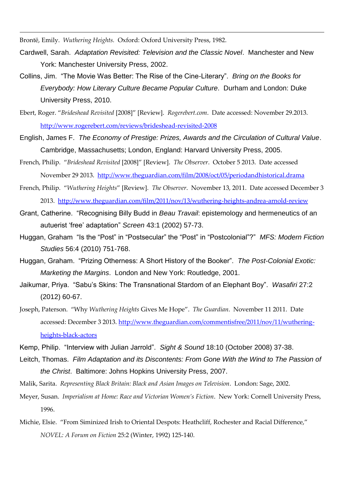Brontë, Emily. *Wuthering Heights.* Oxford: Oxford University Press, 1982.

 $\overline{a}$ 

- Cardwell, Sarah. *Adaptation Revisited: Television and the Classic Novel*. Manchester and New York: Manchester University Press, 2002.
- Collins, Jim. "The Movie Was Better: The Rise of the Cine-Literary". *Bring on the Books for Everybody: How Literary Culture Became Popular Culture*. Durham and London: Duke University Press, 2010.
- Ebert, Roger. "*Brideshead Revisited* [2008]" [Review]. *Rogerebert.com*. Date accessed: November 29.2013. <http://www.rogerebert.com/reviews/brideshead-revisited-2008>
- English, James F. *The Economy of Prestige: Prizes, Awards and the Circulation of Cultural Value*. Cambridge, Massachusetts; London, England: Harvard University Press, 2005.
- French, Philip. "*Brideshead Revisited* [2008]" [Review]. *The Observer*. October 5 2013. Date accessed November 29 2013. <http://www.theguardian.com/film/2008/oct/05/periodandhistorical.drama>
- French, Philip. "*Wuthering Heights*" [Review]. *The Observer*. November 13, 2011. Date accessed December 3 2013. <http://www.theguardian.com/film/2011/nov/13/wuthering-heights-andrea-arnold-review>
- Grant, Catherine. "Recognising Billy Budd in *Beau Travail*: epistemology and hermeneutics of an autuerist 'free' adaptation" *Screen* 43:1 (2002) 57-73.
- Huggan, Graham "Is the "Post" in "Postsecular" the "Post" in "Postcolonial"?" *MFS: Modern Fiction Studies* 56:4 (2010) 751-768.
- Huggan, Graham. "Prizing Otherness: A Short History of the Booker". *The Post-Colonial Exotic: Marketing the Margins*. London and New York: Routledge, 2001.
- Jaikumar, Priya. "Sabu's Skins: The Transnational Stardom of an Elephant Boy". *Wasafiri* 27:2 (2012) 60-67.
- Joseph, Paterson. "Why *Wuthering Heights* Gives Me Hope". *The Guardian*. November 11 2011. Date accessed: December 3 2013. [http://www.theguardian.com/commentisfree/2011/nov/11/wuthering](http://www.theguardian.com/commentisfree/2011/nov/11/wuthering-heights-black-actors)[heights-black-actors](http://www.theguardian.com/commentisfree/2011/nov/11/wuthering-heights-black-actors)
- Kemp, Philip. "Interview with Julian Jarrold". *Sight & Sound* 18:10 (October 2008) 37-38.
- Leitch, Thomas. *Film Adaptation and its Discontents: From Gone With the Wind to The Passion of the Christ*. Baltimore: Johns Hopkins University Press, 2007.
- Malik, Sarita. *Representing Black Britain: Black and Asian Images on Television*. London: Sage, 2002.
- Meyer, Susan. *Imperialism at Home: Race and Victorian Women's Fiction*. New York: Cornell University Press, 1996.
- Michie, Elsie. "From Siminized Irish to Oriental Despots: Heathcliff, Rochester and Racial Difference," *NOVEL: A Forum on Fiction* 25:2 (Winter, 1992) 125-140.